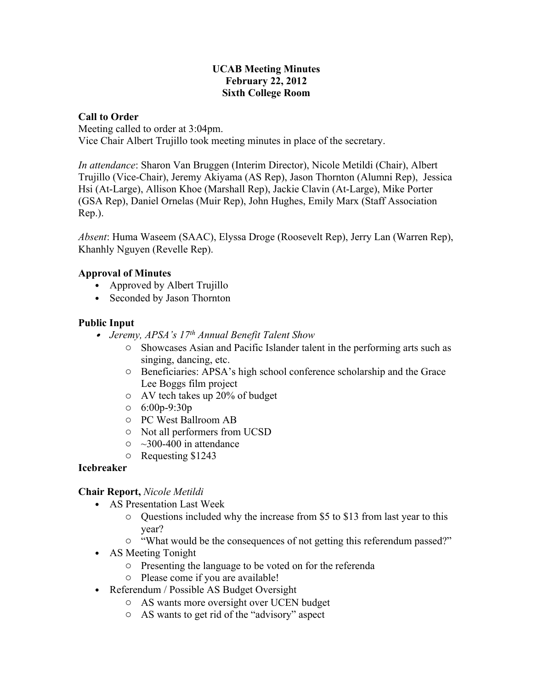### **UCAB Meeting Minutes February 22, 2012 Sixth College Room**

### **Call to Order**

Meeting called to order at 3:04pm. Vice Chair Albert Trujillo took meeting minutes in place of the secretary.

*In attendance*: Sharon Van Bruggen (Interim Director), Nicole Metildi (Chair), Albert Trujillo (Vice-Chair), Jeremy Akiyama (AS Rep), Jason Thornton (Alumni Rep), Jessica Hsi (At-Large), Allison Khoe (Marshall Rep), Jackie Clavin (At-Large), Mike Porter (GSA Rep), Daniel Ornelas (Muir Rep), John Hughes, Emily Marx (Staff Association Rep.).

*Absent*: Huma Waseem (SAAC), Elyssa Droge (Roosevelt Rep), Jerry Lan (Warren Rep), Khanhly Nguyen (Revelle Rep).

### **Approval of Minutes**

- Approved by Albert Trujillo
- Seconded by Jason Thornton

## **Public Input**

- *Jeremy, APSA's 17th Annual Benefit Talent Show*
	- o Showcases Asian and Pacific Islander talent in the performing arts such as singing, dancing, etc.
	- o Beneficiaries: APSA's high school conference scholarship and the Grace Lee Boggs film project
	- o AV tech takes up 20% of budget
	- o 6:00p-9:30p
	- o PC West Ballroom AB
	- o Not all performers from UCSD
	- $\circ$  ~300-400 in attendance
	- o Requesting \$1243

## **Icebreaker**

## **Chair Report,** *Nicole Metildi*

- AS Presentation Last Week
	- o Questions included why the increase from \$5 to \$13 from last year to this year?
	- o "What would be the consequences of not getting this referendum passed?"
- AS Meeting Tonight
	- o Presenting the language to be voted on for the referenda
	- o Please come if you are available!
- Referendum / Possible AS Budget Oversight
	- o AS wants more oversight over UCEN budget
	- o AS wants to get rid of the "advisory" aspect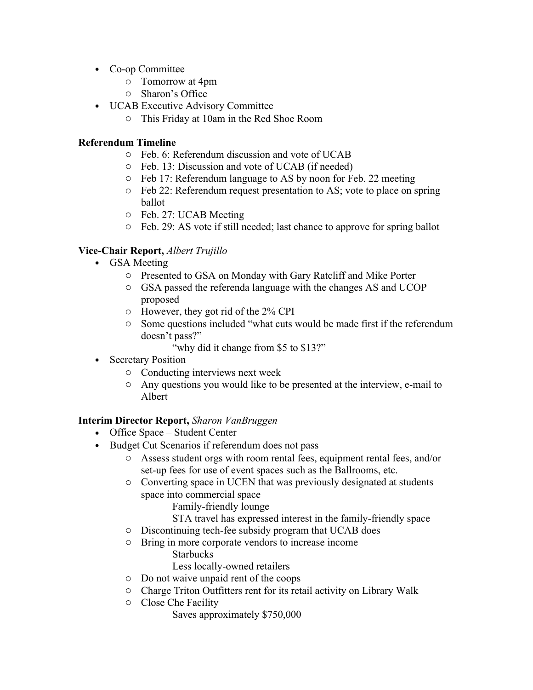- Co-op Committee
	- o Tomorrow at 4pm
	- o Sharon's Office
- UCAB Executive Advisory Committee
	- o This Friday at 10am in the Red Shoe Room

## **Referendum Timeline**

- o Feb. 6: Referendum discussion and vote of UCAB
- o Feb. 13: Discussion and vote of UCAB (if needed)
- o Feb 17: Referendum language to AS by noon for Feb. 22 meeting
- o Feb 22: Referendum request presentation to AS; vote to place on spring ballot
- o Feb. 27: UCAB Meeting
- o Feb. 29: AS vote if still needed; last chance to approve for spring ballot

# **Vice-Chair Report,** *Albert Trujillo*

- GSA Meeting
	- o Presented to GSA on Monday with Gary Ratcliff and Mike Porter
	- o GSA passed the referenda language with the changes AS and UCOP proposed
	- o However, they got rid of the 2% CPI
	- o Some questions included "what cuts would be made first if the referendum doesn't pass?"
		- "why did it change from \$5 to \$13?"
- Secretary Position
	- o Conducting interviews next week
	- o Any questions you would like to be presented at the interview, e-mail to Albert

## **Interim Director Report,** *Sharon VanBruggen*

- Office Space Student Center
- Budget Cut Scenarios if referendum does not pass
	- o Assess student orgs with room rental fees, equipment rental fees, and/or set-up fees for use of event spaces such as the Ballrooms, etc.
	- o Converting space in UCEN that was previously designated at students space into commercial space
		- Family-friendly lounge
		- STA travel has expressed interest in the family-friendly space
	- o Discontinuing tech-fee subsidy program that UCAB does
	- o Bring in more corporate vendors to increase income Starbucks
		- Less locally-owned retailers
	- o Do not waive unpaid rent of the coops
	- o Charge Triton Outfitters rent for its retail activity on Library Walk
	- o Close Che Facility
		- Saves approximately \$750,000